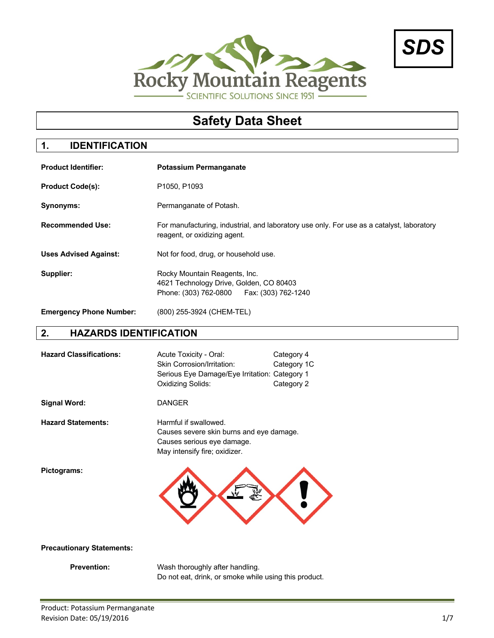



# **Safety Data Sheet**

# **1. IDENTIFICATION**

| <b>Product Identifier:</b>     | <b>Potassium Permanganate</b>                                                                                             |
|--------------------------------|---------------------------------------------------------------------------------------------------------------------------|
| <b>Product Code(s):</b>        | P <sub>1050</sub> , P <sub>1093</sub>                                                                                     |
| Synonyms:                      | Permanganate of Potash.                                                                                                   |
| <b>Recommended Use:</b>        | For manufacturing, industrial, and laboratory use only. For use as a catalyst, laboratory<br>reagent, or oxidizing agent. |
| <b>Uses Advised Against:</b>   | Not for food, drug, or household use.                                                                                     |
| Supplier:                      | Rocky Mountain Reagents, Inc.<br>4621 Technology Drive, Golden, CO 80403<br>Phone: (303) 762-0800   Fax: (303) 762-1240   |
| <b>Emergency Phone Number:</b> | (800) 255-3924 (CHEM-TEL)                                                                                                 |

#### **2. HAZARDS IDENTIFICATION**

| <b>Hazard Classifications:</b> | Acute Toxicity - Oral:<br>Skin Corrosion/Irritation:<br>Serious Eye Damage/Eye Irritation: Category 1<br>Oxidizing Solids:       | Category 4<br>Category 1C<br>Category 2 |
|--------------------------------|----------------------------------------------------------------------------------------------------------------------------------|-----------------------------------------|
| <b>Signal Word:</b>            | <b>DANGER</b>                                                                                                                    |                                         |
| <b>Hazard Statements:</b>      | Harmful if swallowed.<br>Causes severe skin burns and eye damage.<br>Causes serious eye damage.<br>May intensify fire; oxidizer. |                                         |
| Pictograms:                    |                                                                                                                                  |                                         |

#### **Precautionary Statements:**

**Prevention:** Wash thoroughly after handling. Do not eat, drink, or smoke while using this product.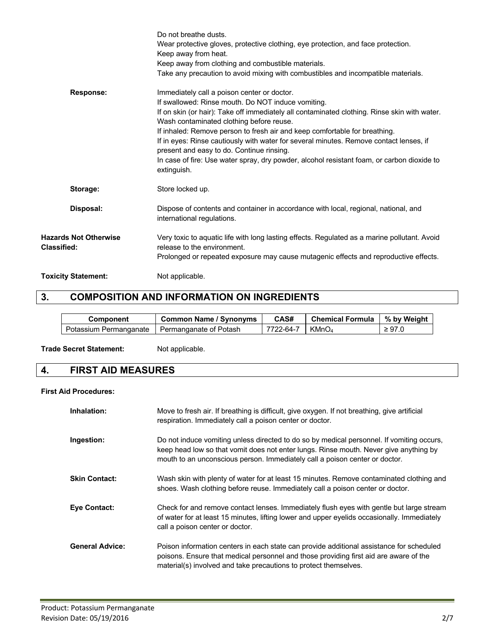|                                                    | Do not breathe dusts.<br>Wear protective gloves, protective clothing, eye protection, and face protection.<br>Keep away from heat.<br>Keep away from clothing and combustible materials.<br>Take any precaution to avoid mixing with combustibles and incompatible materials.                                                                                                                                                                                                                                                                                                   |
|----------------------------------------------------|---------------------------------------------------------------------------------------------------------------------------------------------------------------------------------------------------------------------------------------------------------------------------------------------------------------------------------------------------------------------------------------------------------------------------------------------------------------------------------------------------------------------------------------------------------------------------------|
| <b>Response:</b>                                   | Immediately call a poison center or doctor.<br>If swallowed: Rinse mouth. Do NOT induce vomiting.<br>If on skin (or hair): Take off immediately all contaminated clothing. Rinse skin with water.<br>Wash contaminated clothing before reuse.<br>If inhaled: Remove person to fresh air and keep comfortable for breathing.<br>If in eyes: Rinse cautiously with water for several minutes. Remove contact lenses, if<br>present and easy to do. Continue rinsing.<br>In case of fire: Use water spray, dry powder, alcohol resistant foam, or carbon dioxide to<br>extinguish. |
| Storage:                                           | Store locked up.                                                                                                                                                                                                                                                                                                                                                                                                                                                                                                                                                                |
| Disposal:                                          | Dispose of contents and container in accordance with local, regional, national, and<br>international regulations.                                                                                                                                                                                                                                                                                                                                                                                                                                                               |
| <b>Hazards Not Otherwise</b><br><b>Classified:</b> | Very toxic to aquatic life with long lasting effects. Regulated as a marine pollutant. Avoid<br>release to the environment.<br>Prolonged or repeated exposure may cause mutagenic effects and reproductive effects.                                                                                                                                                                                                                                                                                                                                                             |
| <b>Toxicity Statement:</b>                         | Not applicable.                                                                                                                                                                                                                                                                                                                                                                                                                                                                                                                                                                 |

# **3. COMPOSITION AND INFORMATION ON INGREDIENTS**

| Component              | <b>Common Name / Synonyms</b> | CAS#      | <b>Chemical Formula</b> | % by Weight |
|------------------------|-------------------------------|-----------|-------------------------|-------------|
| Potassium Permanganate | Permanganate of Potash        | 7722-64-7 | KMnO <sub>4</sub>       | $\geq 97.0$ |

#### Trade Secret Statement: Not applicable.

# **4. FIRST AID MEASURES**

#### **First Aid Procedures:**

| Inhalation:            | Move to fresh air. If breathing is difficult, give oxygen. If not breathing, give artificial<br>respiration. Immediately call a poison center or doctor.                                                                                                          |
|------------------------|-------------------------------------------------------------------------------------------------------------------------------------------------------------------------------------------------------------------------------------------------------------------|
| Ingestion:             | Do not induce vomiting unless directed to do so by medical personnel. If vomiting occurs,<br>keep head low so that vomit does not enter lungs. Rinse mouth. Never give anything by<br>mouth to an unconscious person. Immediately call a poison center or doctor. |
| <b>Skin Contact:</b>   | Wash skin with plenty of water for at least 15 minutes. Remove contaminated clothing and<br>shoes. Wash clothing before reuse. Immediately call a poison center or doctor.                                                                                        |
| <b>Eve Contact:</b>    | Check for and remove contact lenses. Immediately flush eyes with gentle but large stream<br>of water for at least 15 minutes, lifting lower and upper eyelids occasionally. Immediately<br>call a poison center or doctor.                                        |
| <b>General Advice:</b> | Poison information centers in each state can provide additional assistance for scheduled<br>poisons. Ensure that medical personnel and those providing first aid are aware of the<br>material(s) involved and take precautions to protect themselves.             |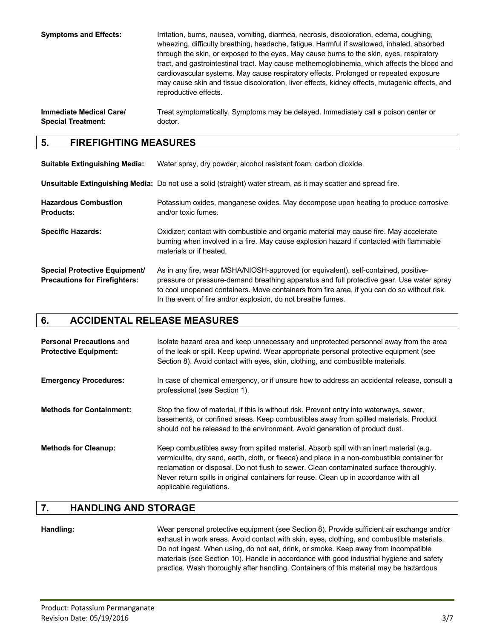**Symptoms and Effects:** Irritation, burns, nausea, vomiting, diarrhea, necrosis, discoloration, edema, coughing, wheezing, difficulty breathing, headache, fatigue. Harmful if swallowed, inhaled, absorbed through the skin, or exposed to the eyes. May cause burns to the skin, eyes, respiratory tract, and gastrointestinal tract. May cause methemoglobinemia, which affects the blood and cardiovascular systems. May cause respiratory effects. Prolonged or repeated exposure may cause skin and tissue discoloration, liver effects, kidney effects, mutagenic effects, and reproductive effects.

**Immediate Medical Care/** Treat symptomatically. Symptoms may be delayed. Immediately call a poison center or **Special Treatment:** doctor.

#### **5. FIREFIGHTING MEASURES**

| <b>Suitable Extinguishing Media:</b>                                         | Water spray, dry powder, alcohol resistant foam, carbon dioxide.                                                                                                                                                                                                                                                                                |  |
|------------------------------------------------------------------------------|-------------------------------------------------------------------------------------------------------------------------------------------------------------------------------------------------------------------------------------------------------------------------------------------------------------------------------------------------|--|
|                                                                              | Unsuitable Extinguishing Media: Do not use a solid (straight) water stream, as it may scatter and spread fire.                                                                                                                                                                                                                                  |  |
| <b>Hazardous Combustion</b><br><b>Products:</b>                              | Potassium oxides, manganese oxides. May decompose upon heating to produce corrosive<br>and/or toxic fumes.                                                                                                                                                                                                                                      |  |
| <b>Specific Hazards:</b>                                                     | Oxidizer; contact with combustible and organic material may cause fire. May accelerate<br>burning when involved in a fire. May cause explosion hazard if contacted with flammable<br>materials or if heated.                                                                                                                                    |  |
| <b>Special Protective Equipment/</b><br><b>Precautions for Firefighters:</b> | As in any fire, wear MSHA/NIOSH-approved (or equivalent), self-contained, positive-<br>pressure or pressure-demand breathing apparatus and full protective gear. Use water spray<br>to cool unopened containers. Move containers from fire area, if you can do so without risk.<br>In the event of fire and/or explosion, do not breathe fumes. |  |

### **6. ACCIDENTAL RELEASE MEASURES**

| <b>Personal Precautions and</b><br><b>Protective Equipment:</b> | Isolate hazard area and keep unnecessary and unprotected personnel away from the area<br>of the leak or spill. Keep upwind. Wear appropriate personal protective equipment (see<br>Section 8). Avoid contact with eyes, skin, clothing, and combustible materials.                                                                                                                                    |
|-----------------------------------------------------------------|-------------------------------------------------------------------------------------------------------------------------------------------------------------------------------------------------------------------------------------------------------------------------------------------------------------------------------------------------------------------------------------------------------|
| <b>Emergency Procedures:</b>                                    | In case of chemical emergency, or if unsure how to address an accidental release, consult a<br>professional (see Section 1).                                                                                                                                                                                                                                                                          |
| <b>Methods for Containment:</b>                                 | Stop the flow of material, if this is without risk. Prevent entry into waterways, sewer,<br>basements, or confined areas. Keep combustibles away from spilled materials. Product<br>should not be released to the environment. Avoid generation of product dust.                                                                                                                                      |
| <b>Methods for Cleanup:</b>                                     | Keep combustibles away from spilled material. Absorb spill with an inert material (e.g.<br>vermiculite, dry sand, earth, cloth, or fleece) and place in a non-combustible container for<br>reclamation or disposal. Do not flush to sewer. Clean contaminated surface thoroughly.<br>Never return spills in original containers for reuse. Clean up in accordance with all<br>applicable regulations. |

#### **7. HANDLING AND STORAGE**

**Handling:** Wear personal protective equipment (see Section 8). Provide sufficient air exchange and/or exhaust in work areas. Avoid contact with skin, eyes, clothing, and combustible materials. Do not ingest. When using, do not eat, drink, or smoke. Keep away from incompatible materials (see Section 10). Handle in accordance with good industrial hygiene and safety practice. Wash thoroughly after handling. Containers of this material may be hazardous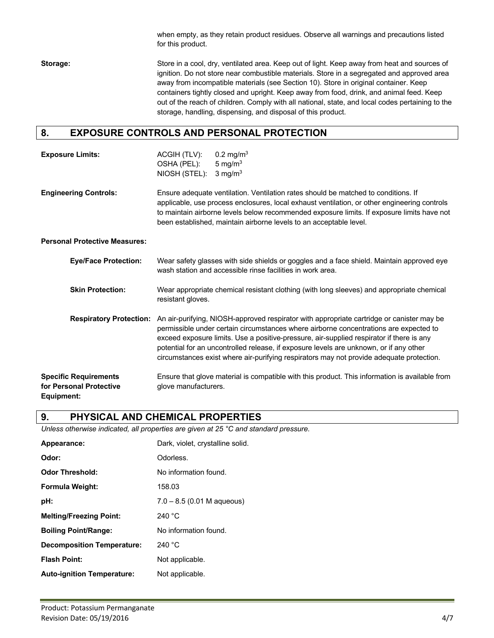when empty, as they retain product residues. Observe all warnings and precautions listed for this product.

**Storage:** Store in a cool, dry, ventilated area. Keep out of light. Keep away from heat and sources of ignition. Do not store near combustible materials. Store in a segregated and approved area away from incompatible materials (see Section 10). Store in original container. Keep containers tightly closed and upright. Keep away from food, drink, and animal feed. Keep out of the reach of children. Comply with all national, state, and local codes pertaining to the storage, handling, dispensing, and disposal of this product.

### **8. EXPOSURE CONTROLS AND PERSONAL PROTECTION**

| <b>Exposure Limits:</b>              | ACGIH (TLV):<br>OSHA (PEL):<br>NIOSH (STEL): | 0.2 mg/m <sup>3</sup><br>5 mg/m $3$<br>$3 \text{ mg/m}^3$                                                                                                                                                                                                                                                                                              |
|--------------------------------------|----------------------------------------------|--------------------------------------------------------------------------------------------------------------------------------------------------------------------------------------------------------------------------------------------------------------------------------------------------------------------------------------------------------|
| <b>Engineering Controls:</b>         |                                              | Ensure adequate ventilation. Ventilation rates should be matched to conditions. If<br>applicable, use process enclosures, local exhaust ventilation, or other engineering controls<br>to maintain airborne levels below recommended exposure limits. If exposure limits have not<br>been established, maintain airborne levels to an acceptable level. |
| <b>Personal Protective Measures:</b> |                                              |                                                                                                                                                                                                                                                                                                                                                        |
| <b>Eye/Face Protection:</b>          |                                              | Wear safety glasses with side shields or goggles and a face shield. Maintain approved eye                                                                                                                                                                                                                                                              |

|                                                         |                                | wash station and accessible rinse facilities in work area.                                                                                                                                                                                                                                                                                                                                                                                                           |
|---------------------------------------------------------|--------------------------------|----------------------------------------------------------------------------------------------------------------------------------------------------------------------------------------------------------------------------------------------------------------------------------------------------------------------------------------------------------------------------------------------------------------------------------------------------------------------|
| <b>Skin Protection:</b>                                 |                                | Wear appropriate chemical resistant clothing (with long sleeves) and appropriate chemical<br>resistant gloves.                                                                                                                                                                                                                                                                                                                                                       |
|                                                         | <b>Respiratory Protection:</b> | An air-purifying, NIOSH-approved respirator with appropriate cartridge or canister may be<br>permissible under certain circumstances where airborne concentrations are expected to<br>exceed exposure limits. Use a positive-pressure, air-supplied respirator if there is any<br>potential for an uncontrolled release, if exposure levels are unknown, or if any other<br>circumstances exist where air-purifying respirators may not provide adequate protection. |
| <b>Specific Requirements</b><br>for Personal Protective |                                | Ensure that glove material is compatible with this product. This information is available from<br>glove manufacturers.                                                                                                                                                                                                                                                                                                                                               |

**Equipment:**

### **9. PHYSICAL AND CHEMICAL PROPERTIES**

*Unless otherwise indicated, all properties are given at 25 °C and standard pressure.*

| Appearance:                       | Dark, violet, crystalline solid. |
|-----------------------------------|----------------------------------|
| Odor:                             | Odorless.                        |
| <b>Odor Threshold:</b>            | No information found.            |
| <b>Formula Weight:</b>            | 158.03                           |
| pH:                               | $7.0 - 8.5$ (0.01 M aqueous)     |
| <b>Melting/Freezing Point:</b>    | 240 $^{\circ}$ C                 |
| <b>Boiling Point/Range:</b>       | No information found.            |
| <b>Decomposition Temperature:</b> | 240 $^{\circ}$ C                 |
| <b>Flash Point:</b>               | Not applicable.                  |
| <b>Auto-ignition Temperature:</b> | Not applicable.                  |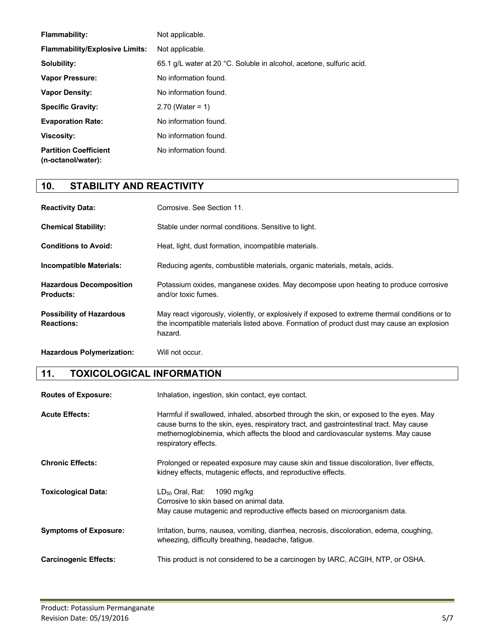| <b>Flammability:</b>                               | Not applicable.                                                      |
|----------------------------------------------------|----------------------------------------------------------------------|
| <b>Flammability/Explosive Limits:</b>              | Not applicable.                                                      |
| Solubility:                                        | 65.1 g/L water at 20 °C. Soluble in alcohol, acetone, sulfuric acid. |
| <b>Vapor Pressure:</b>                             | No information found.                                                |
| <b>Vapor Density:</b>                              | No information found.                                                |
| <b>Specific Gravity:</b>                           | $2.70$ (Water = 1)                                                   |
| <b>Evaporation Rate:</b>                           | No information found.                                                |
| <b>Viscosity:</b>                                  | No information found.                                                |
| <b>Partition Coefficient</b><br>(n-octanol/water): | No information found.                                                |

# **10. STABILITY AND REACTIVITY**

| <b>Reactivity Data:</b>                              | Corrosive. See Section 11.                                                                                                                                                                             |
|------------------------------------------------------|--------------------------------------------------------------------------------------------------------------------------------------------------------------------------------------------------------|
| <b>Chemical Stability:</b>                           | Stable under normal conditions. Sensitive to light.                                                                                                                                                    |
| <b>Conditions to Avoid:</b>                          | Heat, light, dust formation, incompatible materials.                                                                                                                                                   |
| Incompatible Materials:                              | Reducing agents, combustible materials, organic materials, metals, acids.                                                                                                                              |
| <b>Hazardous Decomposition</b><br><b>Products:</b>   | Potassium oxides, manganese oxides. May decompose upon heating to produce corrosive<br>and/or toxic fumes.                                                                                             |
| <b>Possibility of Hazardous</b><br><b>Reactions:</b> | May react vigorously, violently, or explosively if exposed to extreme thermal conditions or to<br>the incompatible materials listed above. Formation of product dust may cause an explosion<br>hazard. |

**Hazardous Polymerization:** Will not occur.

**11. TOXICOLOGICAL INFORMATION**

**Routes of Exposure:** Inhalation, ingestion, skin contact, eye contact.

| <b>Acute Effects:</b>        | Harmful if swallowed, inhaled, absorbed through the skin, or exposed to the eyes. May<br>cause burns to the skin, eyes, respiratory tract, and gastrointestinal tract. May cause<br>methemoglobinemia, which affects the blood and cardiovascular systems. May cause<br>respiratory effects. |
|------------------------------|----------------------------------------------------------------------------------------------------------------------------------------------------------------------------------------------------------------------------------------------------------------------------------------------|
| <b>Chronic Effects:</b>      | Prolonged or repeated exposure may cause skin and tissue discoloration, liver effects,<br>kidney effects, mutagenic effects, and reproductive effects.                                                                                                                                       |
| <b>Toxicological Data:</b>   | $LD_{50}$ Oral, Rat:<br>1090 mg/kg<br>Corrosive to skin based on animal data.<br>May cause mutagenic and reproductive effects based on microorganism data.                                                                                                                                   |
| <b>Symptoms of Exposure:</b> | Irritation, burns, nausea, vomiting, diarrhea, necrosis, discoloration, edema, coughing,<br>wheezing, difficulty breathing, headache, fatique.                                                                                                                                               |
| <b>Carcinogenic Effects:</b> | This product is not considered to be a carcinogen by IARC, ACGIH, NTP, or OSHA.                                                                                                                                                                                                              |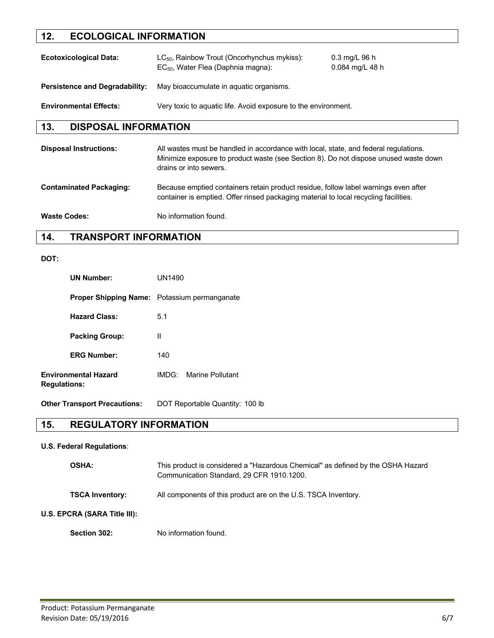# **12. ECOLOGICAL INFORMATION**

| <b>Ecotoxicological Data:</b>         | $LC_{50}$ , Rainbow Trout (Oncorhynchus mykiss):<br>EC <sub>50</sub> , Water Flea (Daphnia magna): | $0.3 \text{ mg/L} 96 \text{ h}$<br>$0.084$ mg/L 48 h |
|---------------------------------------|----------------------------------------------------------------------------------------------------|------------------------------------------------------|
| <b>Persistence and Degradability:</b> | May bioaccumulate in aquatic organisms.                                                            |                                                      |
| <b>Environmental Effects:</b>         | Very toxic to aguatic life. Avoid exposure to the environment.                                     |                                                      |

### **13. DISPOSAL INFORMATION**

| <b>Disposal Instructions:</b>  | All wastes must be handled in accordance with local, state, and federal regulations.<br>Minimize exposure to product waste (see Section 8). Do not dispose unused waste down<br>drains or into sewers. |
|--------------------------------|--------------------------------------------------------------------------------------------------------------------------------------------------------------------------------------------------------|
| <b>Contaminated Packaging:</b> | Because emptied containers retain product residue, follow label warnings even after<br>container is emptied. Offer rinsed packaging material to local recycling facilities.                            |
| <b>Waste Codes:</b>            | No information found.                                                                                                                                                                                  |

### **14. TRANSPORT INFORMATION**

#### **DOT:**

| <b>UN Number:</b>                                  | UN1490                                              |
|----------------------------------------------------|-----------------------------------------------------|
|                                                    | <b>Proper Shipping Name:</b> Potassium permanganate |
| <b>Hazard Class:</b>                               | 5.1                                                 |
| <b>Packing Group:</b>                              | Ш                                                   |
| <b>ERG Number:</b>                                 | 140                                                 |
| <b>Environmental Hazard</b><br><b>Regulations:</b> | IMDG: Marine Pollutant                              |

**Other Transport Precautions:** DOT Reportable Quantity: 100 lb

# **15. REGULATORY INFORMATION**

#### **U.S. Federal Regulations**:

| <b>OSHA:</b>                 | This product is considered a "Hazardous Chemical" as defined by the OSHA Hazard<br>Communication Standard, 29 CFR 1910.1200. |
|------------------------------|------------------------------------------------------------------------------------------------------------------------------|
| <b>TSCA Inventory:</b>       | All components of this product are on the U.S. TSCA Inventory.                                                               |
| U.S. EPCRA (SARA Title III): |                                                                                                                              |
| Section 302:                 | No information found.                                                                                                        |